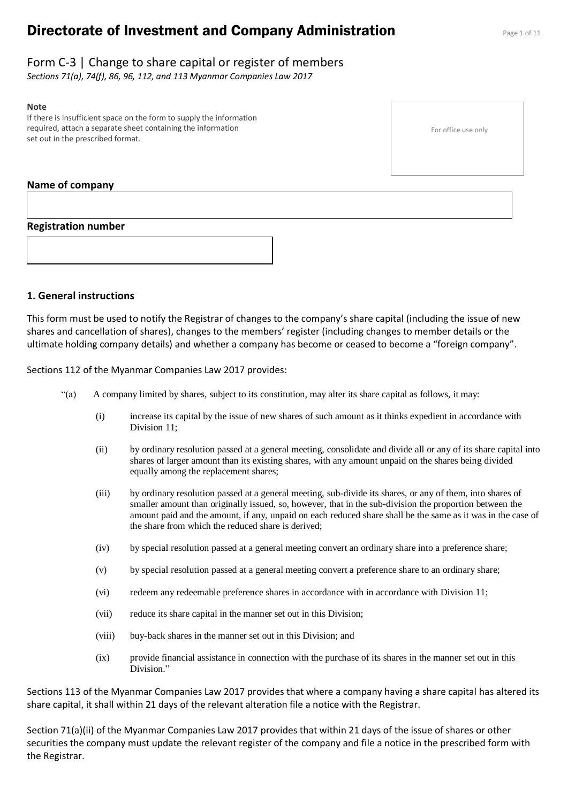# **Directorate of Investment and Company Administration** Page 1 of 11

*Sections 71(a), 74(f), 86, 96, 112, and 113 Myanmar Companies Law 2017*

# **Note**

If there is insufficient space on the form to supply the information required, attach a separate sheet containing the information set out in the prescribed format.

# **Name of company**

# **Registration number**



# **1. General instructions**

This form must be used to notify the Registrar of changes to the company's share capital (including the issue of new shares and cancellation of shares), changes to the members' register (including changes to member details or the ultimate holding company details) and whether a company has become or ceased to become a "foreign company".

Sections 112 of the Myanmar Companies Law 2017 provides:

- "(a) A company limited by shares, subject to its constitution, may alter its share capital as follows, it may:
	- (i) increase its capital by the issue of new shares of such amount as it thinks expedient in accordance with Division 11;
	- (ii) by ordinary resolution passed at a general meeting, consolidate and divide all or any of its share capital into shares of larger amount than its existing shares, with any amount unpaid on the shares being divided equally among the replacement shares;
	- (iii) by ordinary resolution passed at a general meeting, sub-divide its shares, or any of them, into shares of smaller amount than originally issued, so, however, that in the sub-division the proportion between the amount paid and the amount, if any, unpaid on each reduced share shall be the same as it was in the case of the share from which the reduced share is derived;
	- (iv) by special resolution passed at a general meeting convert an ordinary share into a preference share;
	- (v) by special resolution passed at a general meeting convert a preference share to an ordinary share;
	- (vi) redeem any redeemable preference shares in accordance with in accordance with Division 11;
	- (vii) reduce its share capital in the manner set out in this Division;
	- (viii) buy-back shares in the manner set out in this Division; and
	- (ix) provide financial assistance in connection with the purchase of its shares in the manner set out in this Division."

Sections 113 of the Myanmar Companies Law 2017 provides that where a company having a share capital has altered its share capital, it shall within 21 days of the relevant alteration file a notice with the Registrar.

Section 71(a)(ii) of the Myanmar Companies Law 2017 provides that within 21 days of the issue of shares or other securities the company must update the relevant register of the company and file a notice in the prescribed form with the Registrar.

For office use only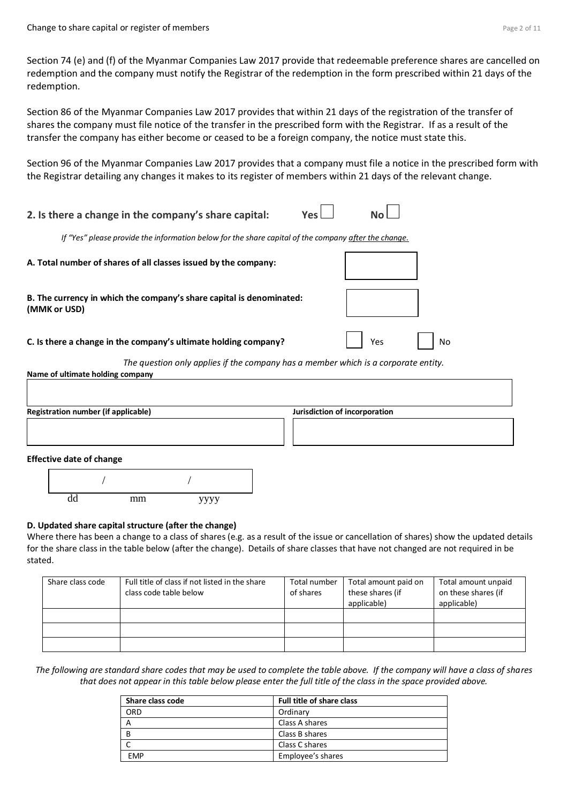Section 74 (e) and (f) of the Myanmar Companies Law 2017 provide that redeemable preference shares are cancelled on redemption and the company must notify the Registrar of the redemption in the form prescribed within 21 days of the redemption.

Section 86 of the Myanmar Companies Law 2017 provides that within 21 days of the registration of the transfer of shares the company must file notice of the transfer in the prescribed form with the Registrar. If as a result of the transfer the company has either become or ceased to be a foreign company, the notice must state this.

Section 96 of the Myanmar Companies Law 2017 provides that a company must file a notice in the prescribed form with the Registrar detailing any changes it makes to its register of members within 21 days of the relevant change.

**2.** Is there a change in the company's share capital:  $Yes$ *If "Yes" please provide the information below for the share capital of the company after the change.* **A. Total number of shares of all classes issued by the company: B. The currency in which the company's share capital is denominated: (MMK or USD) C. Is there a change in the company's ultimate holding company?** Yes No *The question only applies if the company has a member which is a corporate entity.* **Name of ultimate holding company Registration number (if applicable) Jurisdiction of incorporation**

#### **Effective date of change**



#### **D. Updated share capital structure (after the change)**

Where there has been a change to a class of shares (e.g. as a result of the issue or cancellation of shares) show the updated details for the share class in the table below (after the change). Details of share classes that have not changed are not required in be stated.

| Share class code | Full title of class if not listed in the share<br>class code table below | Total number<br>of shares | Total amount paid on<br>these shares (if<br>applicable) | Total amount unpaid<br>on these shares (if<br>applicable) |
|------------------|--------------------------------------------------------------------------|---------------------------|---------------------------------------------------------|-----------------------------------------------------------|
|                  |                                                                          |                           |                                                         |                                                           |
|                  |                                                                          |                           |                                                         |                                                           |
|                  |                                                                          |                           |                                                         |                                                           |

*The following are standard share codes that may be used to complete the table above. If the company will have a class of shares that does not appear in this table below please enter the full title of the class in the space provided above.*

| Share class code | <b>Full title of share class</b> |
|------------------|----------------------------------|
| ORD              | Ordinary                         |
|                  | Class A shares                   |
| B                | Class B shares                   |
|                  | Class C shares                   |
| <b>FMP</b>       | Employee's shares                |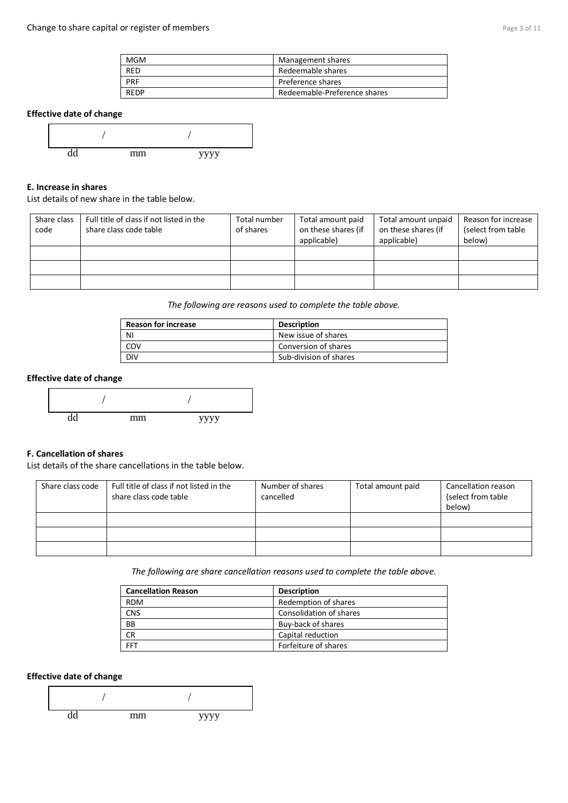| <b>MGM</b>  | Management shares            |
|-------------|------------------------------|
| <b>RED</b>  | Redeemable shares            |
| <b>PRF</b>  | Preference shares            |
| <b>RFDP</b> | Redeemable-Preference shares |

# **Effective date of change**



## **E. Increase in shares**

#### List details of new share in the table below.

| Share class<br>code | Full title of class if not listed in the<br>share class code table | Total number<br>of shares | Total amount paid<br>on these shares (if<br>applicable) | Total amount unpaid<br>on these shares (if<br>applicable) | Reason for increase<br>(select from table)<br>below) |
|---------------------|--------------------------------------------------------------------|---------------------------|---------------------------------------------------------|-----------------------------------------------------------|------------------------------------------------------|
|                     |                                                                    |                           |                                                         |                                                           |                                                      |
|                     |                                                                    |                           |                                                         |                                                           |                                                      |
|                     |                                                                    |                           |                                                         |                                                           |                                                      |

*The following are reasons used to complete the table above.*

| <b>Reason for increase</b> | <b>Description</b>     |
|----------------------------|------------------------|
| -NI                        | New issue of shares    |
| COV                        | Conversion of shares   |
| <b>DIV</b>                 | Sub-division of shares |

#### **Effective date of change**



# **F. Cancellation of shares**

List details of the share cancellations in the table below.

| Share class code | Full title of class if not listed in the<br>share class code table | Number of shares<br>cancelled | Total amount paid | Cancellation reason<br>(select from table<br>below) |
|------------------|--------------------------------------------------------------------|-------------------------------|-------------------|-----------------------------------------------------|
|                  |                                                                    |                               |                   |                                                     |
|                  |                                                                    |                               |                   |                                                     |
|                  |                                                                    |                               |                   |                                                     |

*The following are share cancellation reasons used to complete the table above.* 

| <b>Cancellation Reason</b> | <b>Description</b>      |
|----------------------------|-------------------------|
| <b>RDM</b>                 | Redemption of shares    |
| <b>CNS</b>                 | Consolidation of shares |
| <b>BB</b>                  | Buy-back of shares      |
| <b>CR</b>                  | Capital reduction       |
| <b>FFT</b>                 | Forfeiture of shares    |

# **Effective date of change**

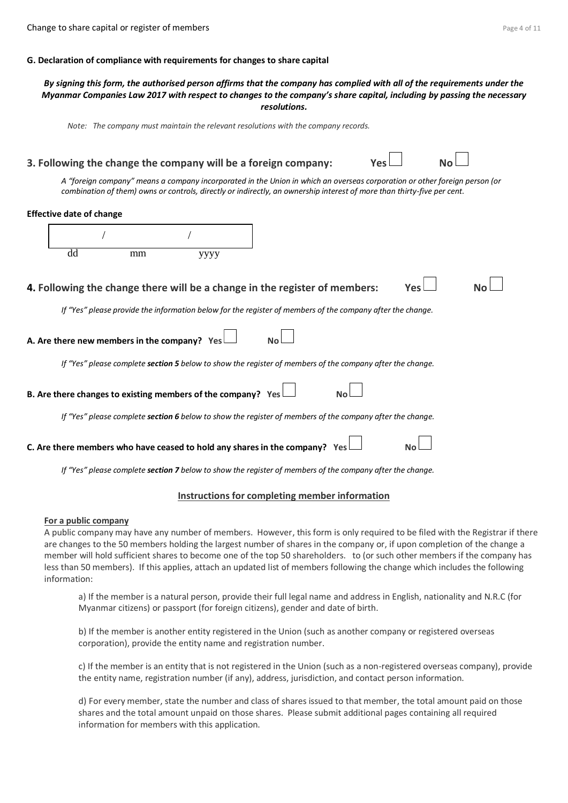#### **G. Declaration of compliance with requirements for changes to share capital**

#### *By signing this form, the authorised person affirms that the company has complied with all of the requirements under the Myanmar Companies Law 2017 with respect to changes to the company's share capital, including by passing the necessary resolutions.*

*Note: The company must maintain the relevant resolutions with the company records.*

# **3. Following the change the company will be a foreign company:** *A "foreign company" means a company incorporated in the Union in which an overseas corporation or other foreign person (or combination of them) owns or controls, directly or indirectly, an ownership interest of more than thirty-five per cent.* **Effective date of change**  dd mm yyyy **4. Following the change there will be a change in the register of members:** *If "Yes" please provide the information below for the register of members of the company after the change.* **A. Are there new members in the company?** Yes *If "Yes" please complete section 5 below to show the register of members of the company after the change.* **B.** Are there changes to existing members of the company? Yes *If "Yes" please complete section 6 below to show the register of members of the company after the change.* **C.** Are there members who have ceased to hold any shares in the company? Yes *If "Yes" please complete section 7 below to show the register of members of the company after the change.* / /

#### **Instructions for completing member information**

#### **For a public company**

A public company may have any number of members. However, this form is only required to be filed with the Registrar if there are changes to the 50 members holding the largest number of shares in the company or, if upon completion of the change a member will hold sufficient shares to become one of the top 50 shareholders. to (or such other members if the company has less than 50 members). If this applies, attach an updated list of members following the change which includes the following information:

a) If the member is a natural person, provide their full legal name and address in English, nationality and N.R.C (for Myanmar citizens) or passport (for foreign citizens), gender and date of birth.

b) If the member is another entity registered in the Union (such as another company or registered overseas corporation), provide the entity name and registration number.

c) If the member is an entity that is not registered in the Union (such as a non-registered overseas company), provide the entity name, registration number (if any), address, jurisdiction, and contact person information.

d) For every member, state the number and class of shares issued to that member, the total amount paid on those shares and the total amount unpaid on those shares. Please submit additional pages containing all required information for members with this application.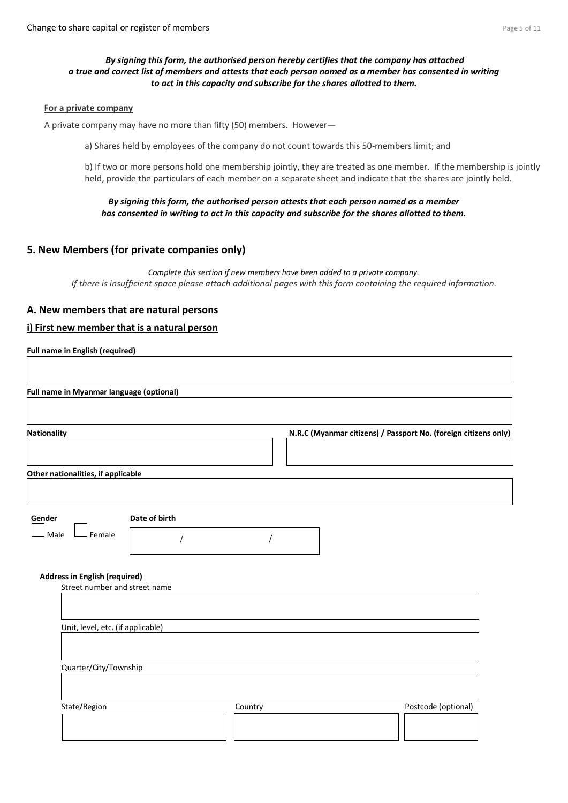# *By signing this form, the authorised person hereby certifies that the company has attached a true and correct list of members and attests that each person named as a member has consented in writing to act in this capacity and subscribe for the shares allotted to them.*

#### **For a private company**

A private company may have no more than fifty (50) members. However—

a) Shares held by employees of the company do not count towards this 50-members limit; and

b) If two or more persons hold one membership jointly, they are treated as one member. If the membership is jointly held, provide the particulars of each member on a separate sheet and indicate that the shares are jointly held.

#### *By signing this form, the authorised person attests that each person named as a member has consented in writing to act in this capacity and subscribe for the shares allotted to them.*

# **5. New Members (for private companies only)**

*Complete this section if new members have been added to a private company. If there is insufficient space please attach additional pages with this form containing the required information.*

# **A. New members that are natural persons**

## **i) First new member that is a natural person**

| <b>Nationality</b>                                                    |         | N.R.C (Myanmar citizens) / Passport No. (foreign citizens only) |
|-----------------------------------------------------------------------|---------|-----------------------------------------------------------------|
|                                                                       |         |                                                                 |
| Other nationalities, if applicable                                    |         |                                                                 |
|                                                                       |         |                                                                 |
| Date of birth<br>Gender                                               |         |                                                                 |
| Female<br>Male                                                        |         |                                                                 |
|                                                                       |         |                                                                 |
| <b>Address in English (required)</b><br>Street number and street name |         |                                                                 |
|                                                                       |         |                                                                 |
| Unit, level, etc. (if applicable)                                     |         |                                                                 |
|                                                                       |         |                                                                 |
| Quarter/City/Township                                                 |         |                                                                 |
|                                                                       |         |                                                                 |
|                                                                       |         |                                                                 |
| State/Region                                                          | Country | Postcode (optional)                                             |
|                                                                       |         |                                                                 |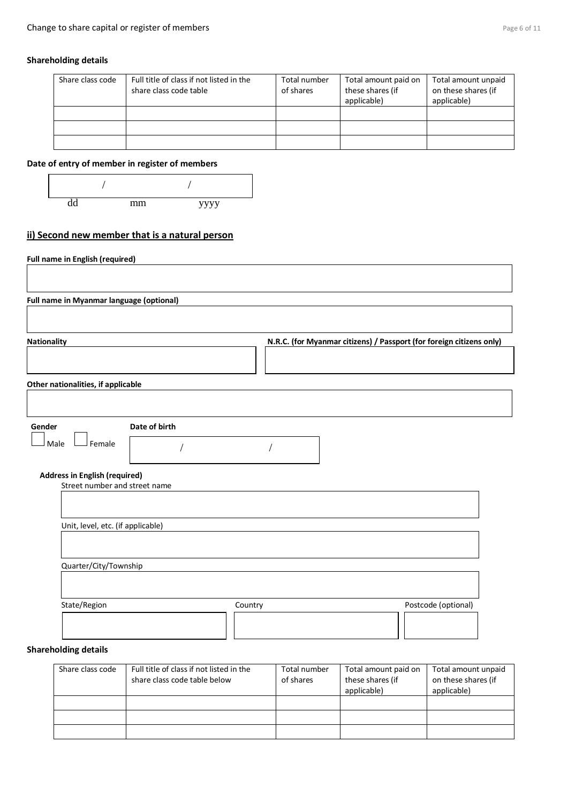# **Shareholding details**

| Share class code | Full title of class if not listed in the<br>share class code table | Total number<br>of shares | Total amount paid on<br>these shares (if<br>applicable) | Total amount unpaid<br>on these shares (if<br>applicable) |
|------------------|--------------------------------------------------------------------|---------------------------|---------------------------------------------------------|-----------------------------------------------------------|
|                  |                                                                    |                           |                                                         |                                                           |
|                  |                                                                    |                           |                                                         |                                                           |
|                  |                                                                    |                           |                                                         |                                                           |

# **Date of entry of member in register of members**



# **ii) Second new member that is a natural person**

| Full name in Myanmar language (optional)                                                                             |         |                                                                      |
|----------------------------------------------------------------------------------------------------------------------|---------|----------------------------------------------------------------------|
| <b>Nationality</b>                                                                                                   |         | N.R.C. (for Myanmar citizens) / Passport (for foreign citizens only) |
| Other nationalities, if applicable                                                                                   |         |                                                                      |
| Date of birth<br>Gender<br>J Female<br>Male<br><b>Address in English (required)</b><br>Street number and street name |         |                                                                      |
| Unit, level, etc. (if applicable)                                                                                    |         |                                                                      |
| Quarter/City/Township                                                                                                |         |                                                                      |
|                                                                                                                      | Country | Postcode (optional)                                                  |

| Share class code | Full title of class if not listed in the<br>share class code table below | Total number<br>of shares | Total amount paid on<br>these shares (if<br>applicable) | Total amount unpaid<br>on these shares (if<br>applicable) |
|------------------|--------------------------------------------------------------------------|---------------------------|---------------------------------------------------------|-----------------------------------------------------------|
|                  |                                                                          |                           |                                                         |                                                           |
|                  |                                                                          |                           |                                                         |                                                           |
|                  |                                                                          |                           |                                                         |                                                           |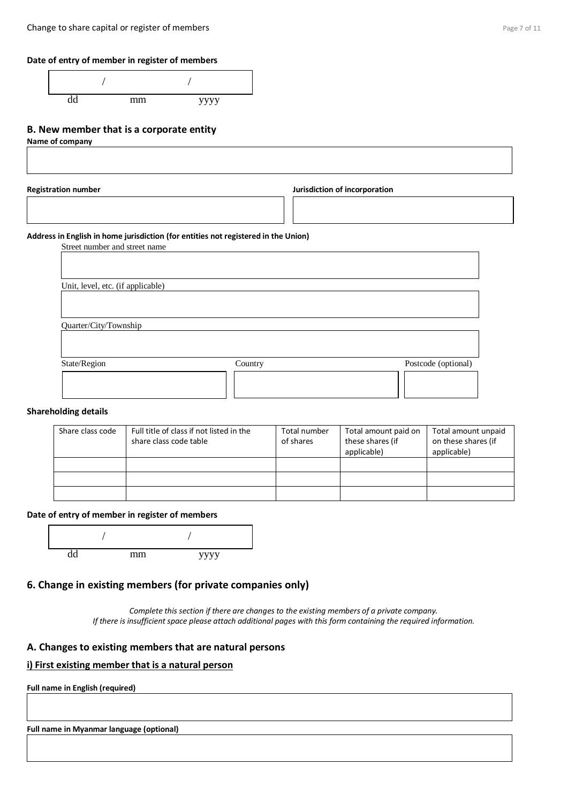# **Date of entry of member in register of members**

| mm | уууу |
|----|------|

# **B. New member that is a corporate entity**

**Name of company** 

**Registration number Jurisdiction of incorporation**

## **Address in English in home jurisdiction (for entities not registered in the Union)**

Street number and street name Unit, level, etc. (if applicable) Quarter/City/Township State/Region Country Country Postcode (optional)

#### **Shareholding details**

| Share class code | Full title of class if not listed in the<br>share class code table | Total number<br>of shares | Total amount paid on<br>these shares (if<br>applicable) | Total amount unpaid<br>on these shares (if<br>applicable) |
|------------------|--------------------------------------------------------------------|---------------------------|---------------------------------------------------------|-----------------------------------------------------------|
|                  |                                                                    |                           |                                                         |                                                           |
|                  |                                                                    |                           |                                                         |                                                           |
|                  |                                                                    |                           |                                                         |                                                           |

#### **Date of entry of member in register of members**



# **6. Change in existing members (for private companies only)**

*Complete this section if there are changes to the existing members of a private company. If there is insufficient space please attach additional pages with this form containing the required information.*

# **A. Changes to existing members that are natural persons**

# **i) First existing member that is a natural person**

**Full name in English (required)**

**Full name in Myanmar language (optional)**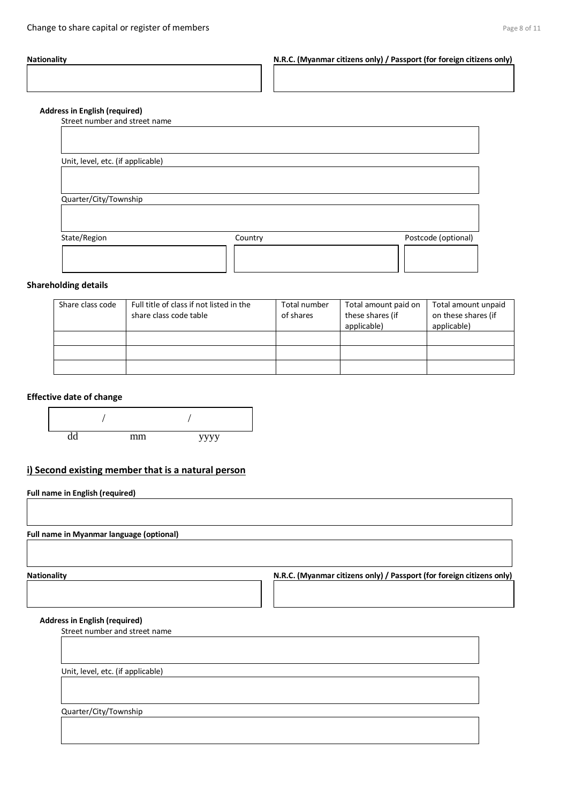**Nationality N.R.C. (Myanmar citizens only) / Passport (for foreign citizens only)**

#### **Address in English (required)**

Street number and street name

| Unit, level, etc. (if applicable) |         |                     |
|-----------------------------------|---------|---------------------|
|                                   |         |                     |
| Quarter/City/Township             |         |                     |
| State/Region                      | Country | Postcode (optional) |
|                                   |         |                     |
|                                   |         |                     |

#### **Shareholding details**

| Share class code | Full title of class if not listed in the<br>share class code table | Total number<br>of shares | Total amount paid on<br>these shares (if<br>applicable) | Total amount unpaid<br>on these shares (if<br>applicable) |
|------------------|--------------------------------------------------------------------|---------------------------|---------------------------------------------------------|-----------------------------------------------------------|
|                  |                                                                    |                           |                                                         |                                                           |
|                  |                                                                    |                           |                                                         |                                                           |
|                  |                                                                    |                           |                                                         |                                                           |

#### **Effective date of change**



# **i) Second existing member that is a natural person**

**Full name in English (required)**

**Full name in Myanmar language (optional)**

Mationality **Nationality N.R.C. (Myanmar citizens only)** / Passport (for foreign citizens only)

#### **Address in English (required)**

Street number and street name

Unit, level, etc. (if applicable)

Quarter/City/Township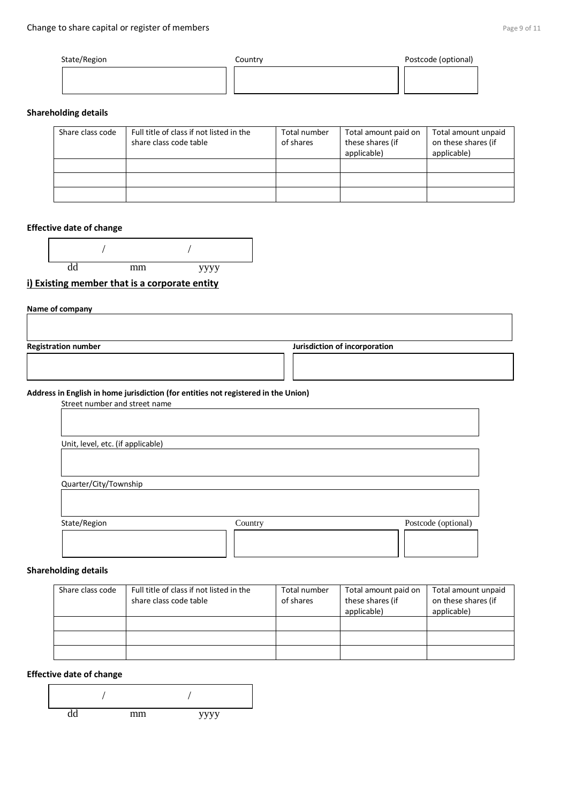| State/Region | Country | Postcode (optional) |
|--------------|---------|---------------------|
|              |         |                     |

# **Shareholding details**

| Share class code | Full title of class if not listed in the<br>share class code table | Total number<br>of shares | Total amount paid on<br>these shares (if<br>applicable) | Total amount unpaid<br>on these shares (if<br>applicable) |
|------------------|--------------------------------------------------------------------|---------------------------|---------------------------------------------------------|-----------------------------------------------------------|
|                  |                                                                    |                           |                                                         |                                                           |
|                  |                                                                    |                           |                                                         |                                                           |
|                  |                                                                    |                           |                                                         |                                                           |

# **Effective date of change**

| dd | mm | уууу |
|----|----|------|

# **i) Existing member that is a corporate entity**

| Name of company                                                                                                     |                               |
|---------------------------------------------------------------------------------------------------------------------|-------------------------------|
| <b>Registration number</b>                                                                                          | Jurisdiction of incorporation |
|                                                                                                                     |                               |
| Address in English in home jurisdiction (for entities not registered in the Union)<br>Street number and street name |                               |
| Unit, level, etc. (if applicable)                                                                                   |                               |
| Quarter/City/Township                                                                                               |                               |
|                                                                                                                     |                               |

| State/Region | Country | Postcode (optional) |
|--------------|---------|---------------------|
|              |         |                     |
|              |         |                     |
|              |         |                     |

# **Shareholding details**

| Share class code | Full title of class if not listed in the<br>share class code table | Total number<br>of shares | Total amount paid on<br>these shares (if<br>applicable) | Total amount unpaid<br>on these shares (if<br>applicable) |
|------------------|--------------------------------------------------------------------|---------------------------|---------------------------------------------------------|-----------------------------------------------------------|
|                  |                                                                    |                           |                                                         |                                                           |
|                  |                                                                    |                           |                                                         |                                                           |
|                  |                                                                    |                           |                                                         |                                                           |

# **Effective date of change**

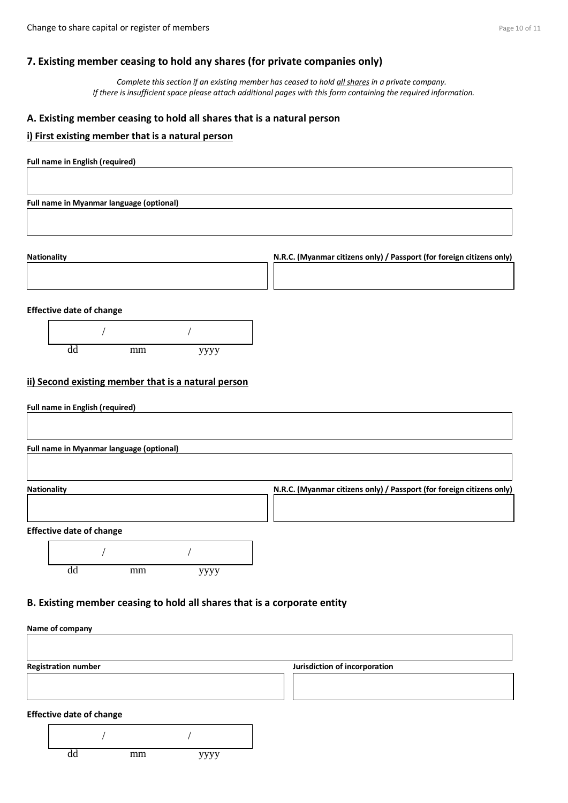# **7. Existing member ceasing to hold any shares (for private companies only)**

*Complete this section if an existing member has ceased to hold all shares in a private company. If there is insufficient space please attach additional pages with this form containing the required information.*

# **A. Existing member ceasing to hold all shares that is a natural person**

# **i) First existing member that is a natural person**

| Full name in English (required)                                          |                                                                       |
|--------------------------------------------------------------------------|-----------------------------------------------------------------------|
|                                                                          |                                                                       |
| Full name in Myanmar language (optional)                                 |                                                                       |
|                                                                          |                                                                       |
|                                                                          |                                                                       |
| <b>Nationality</b>                                                       | N.R.C. (Myanmar citizens only) / Passport (for foreign citizens only) |
|                                                                          |                                                                       |
| <b>Effective date of change</b>                                          |                                                                       |
|                                                                          |                                                                       |
| $\overline{dd}$<br>mm<br>уууу                                            |                                                                       |
|                                                                          |                                                                       |
| ii) Second existing member that is a natural person                      |                                                                       |
| <b>Full name in English (required)</b>                                   |                                                                       |
|                                                                          |                                                                       |
| Full name in Myanmar language (optional)                                 |                                                                       |
|                                                                          |                                                                       |
| Nationality                                                              | N.R.C. (Myanmar citizens only) / Passport (for foreign citizens only) |
|                                                                          |                                                                       |
| <b>Effective date of change</b>                                          |                                                                       |
|                                                                          |                                                                       |
| $\overline{dd}$<br>mm<br>уууу                                            |                                                                       |
|                                                                          |                                                                       |
| B. Existing member ceasing to hold all shares that is a corporate entity |                                                                       |
| Name of company                                                          |                                                                       |
|                                                                          |                                                                       |
| <b>Registration number</b>                                               | Jurisdiction of incorporation                                         |
|                                                                          |                                                                       |
| <b>Effective date of change</b>                                          |                                                                       |
|                                                                          |                                                                       |

| ٠<br>uu | mm | <b>VVVV</b> |
|---------|----|-------------|